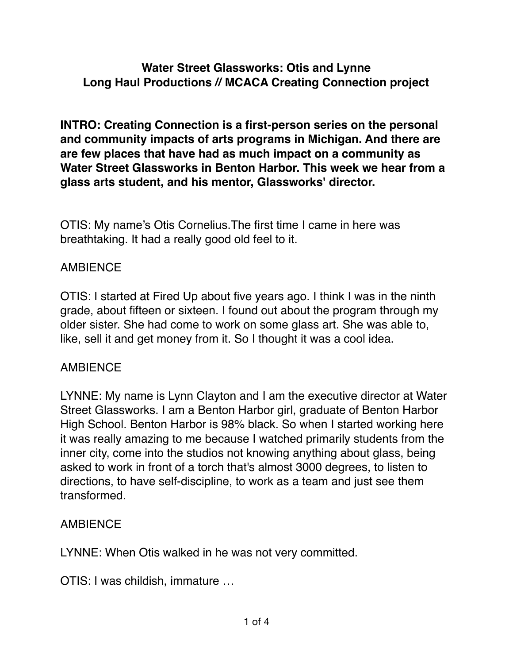### **Water Street Glassworks: Otis and Lynne Long Haul Productions // MCACA Creating Connection project**

**INTRO: Creating Connection is a first-person series on the personal and community impacts of arts programs in Michigan. And there are are few places that have had as much impact on a community as Water Street Glassworks in Benton Harbor. This week we hear from a glass arts student, and his mentor, Glassworks' director.**

OTIS: My name's Otis Cornelius.The first time I came in here was breathtaking. It had a really good old feel to it.

#### **AMBIENCE**

OTIS: I started at Fired Up about five years ago. I think I was in the ninth grade, about fifteen or sixteen. I found out about the program through my older sister. She had come to work on some glass art. She was able to, like, sell it and get money from it. So I thought it was a cool idea.

#### AMBIENCE

LYNNE: My name is Lynn Clayton and I am the executive director at Water Street Glassworks. I am a Benton Harbor girl, graduate of Benton Harbor High School. Benton Harbor is 98% black. So when I started working here it was really amazing to me because I watched primarily students from the inner city, come into the studios not knowing anything about glass, being asked to work in front of a torch that's almost 3000 degrees, to listen to directions, to have self-discipline, to work as a team and just see them transformed.

#### AMBIENCE

LYNNE: When Otis walked in he was not very committed.

OTIS: I was childish, immature …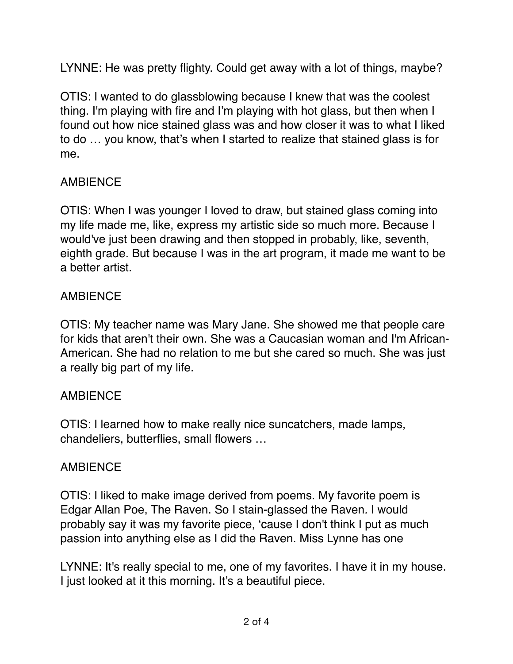LYNNE: He was pretty flighty. Could get away with a lot of things, maybe?

OTIS: I wanted to do glassblowing because I knew that was the coolest thing. I'm playing with fire and I'm playing with hot glass, but then when I found out how nice stained glass was and how closer it was to what I liked to do … you know, that's when I started to realize that stained glass is for me.

# **AMBIENCE**

OTIS: When I was younger I loved to draw, but stained glass coming into my life made me, like, express my artistic side so much more. Because I would've just been drawing and then stopped in probably, like, seventh, eighth grade. But because I was in the art program, it made me want to be a better artist.

### AMBIENCE

OTIS: My teacher name was Mary Jane. She showed me that people care for kids that aren't their own. She was a Caucasian woman and I'm African-American. She had no relation to me but she cared so much. She was just a really big part of my life.

#### **AMBIENCE**

OTIS: I learned how to make really nice suncatchers, made lamps, chandeliers, butterflies, small flowers …

# **AMBIFNCF**

OTIS: I liked to make image derived from poems. My favorite poem is Edgar Allan Poe, The Raven. So I stain-glassed the Raven*.* I would probably say it was my favorite piece, 'cause I don't think I put as much passion into anything else as I did the Raven. Miss Lynne has one

LYNNE: It's really special to me, one of my favorites. I have it in my house. I just looked at it this morning. It's a beautiful piece.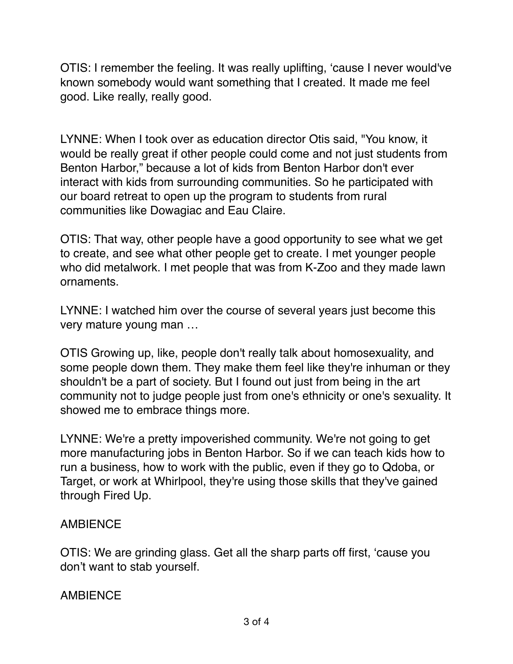OTIS: I remember the feeling. It was really uplifting, 'cause I never would've known somebody would want something that I created. It made me feel good. Like really, really good.

LYNNE: When I took over as education director Otis said, "You know, it would be really great if other people could come and not just students from Benton Harbor," because a lot of kids from Benton Harbor don't ever interact with kids from surrounding communities. So he participated with our board retreat to open up the program to students from rural communities like Dowagiac and Eau Claire.

OTIS: That way, other people have a good opportunity to see what we get to create, and see what other people get to create. I met younger people who did metalwork. I met people that was from K-Zoo and they made lawn ornaments.

LYNNE: I watched him over the course of several years just become this very mature young man …

OTIS Growing up, like, people don't really talk about homosexuality, and some people down them. They make them feel like they're inhuman or they shouldn't be a part of society. But I found out just from being in the art community not to judge people just from one's ethnicity or one's sexuality. It showed me to embrace things more.

LYNNE: We're a pretty impoverished community. We're not going to get more manufacturing jobs in Benton Harbor. So if we can teach kids how to run a business, how to work with the public, even if they go to Qdoba, or Target, or work at Whirlpool, they're using those skills that they've gained through Fired Up.

#### AMBIENCE

OTIS: We are grinding glass. Get all the sharp parts off first, 'cause you don't want to stab yourself.

#### **AMBIFNCF**